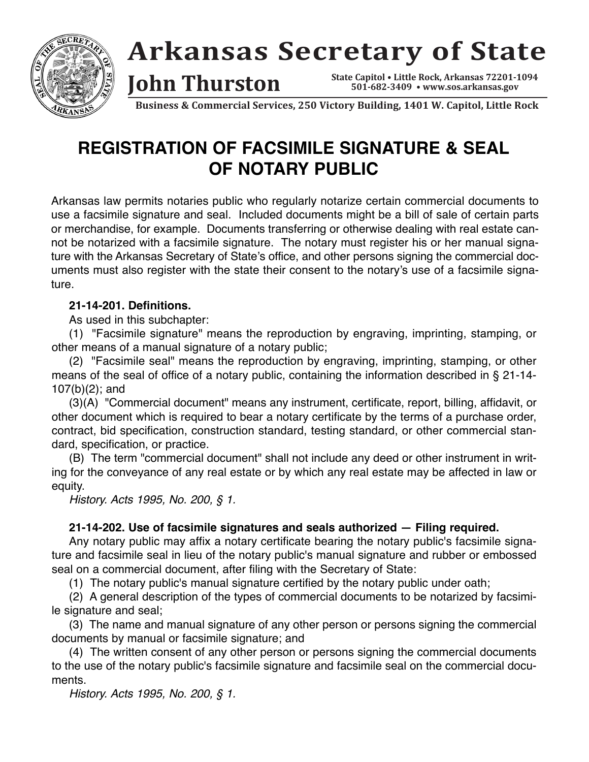

# **Arkansas Secretary of State**

**501-682-34 09 • ww w.sos.arkansas.gov • Little Rock, Arkans as 72201-1094**

**Business & Commercial Services, 250 Victory Building, 1401 W. Capitol, Little Rock**

## **REGISTRATION OF FACSIMILE SIGNATURE & SEAL OF NOTARY PUBLIC**

**John Thurston** 

Arkansas law permits notaries public who regularly notarize certain commercial documents to use a facsimile signature and seal. Included documents might be a bill of sale of certain parts or merchandise, for example. Documents transferring or otherwise dealing with real estate cannot be notarized with a facsimile signature. The notary must register his or her manual signature with the Arkansas Secretary of State's office, and other persons signing the commercial documents must also register with the state their consent to the notary's use of a facsimile signature.

#### **21-14-201. Definitions.**

As used in this subchapter:

(1) "Facsimile signature" means the reproduction by engraving, imprinting, stamping, or other means of a manual signature of a notary public;

(2) "Facsimile seal" means the reproduction by engraving, imprinting, stamping, or other means of the seal of office of a notary public, containing the information described in § 21-14- 107(b)(2); and

(3)(A) "Commercial document" means any instrument, certificate, report, billing, affidavit, or other document which is required to bear a notary certificate by the terms of a purchase order, contract, bid specification, construction standard, testing standard, or other commercial standard, specification, or practice.

(B) The term "commercial document" shall not include any deed or other instrument in writing for the conveyance of any real estate or by which any real estate may be affected in law or equity.

History. Acts 1995, No. 200, § 1.

#### **21-14-202. Use of facsimile signatures and seals authorized — Filing required.**

Any notary public may affix a notary certificate bearing the notary public's facsimile signature and facsimile seal in lieu of the notary public's manual signature and rubber or embossed seal on a commercial document, after filing with the Secretary of State:

(1) The notary public's manual signature certified by the notary public under oath;

(2) A general description of the types of commercial documents to be notarized by facsimile signature and seal;

(3) The name and manual signature of any other person or persons signing the commercial documents by manual or facsimile signature; and

(4) The written consent of any other person or persons signing the commercial documents to the use of the notary public's facsimile signature and facsimile seal on the commercial documents.

History. Acts 1995, No. 200, § 1.